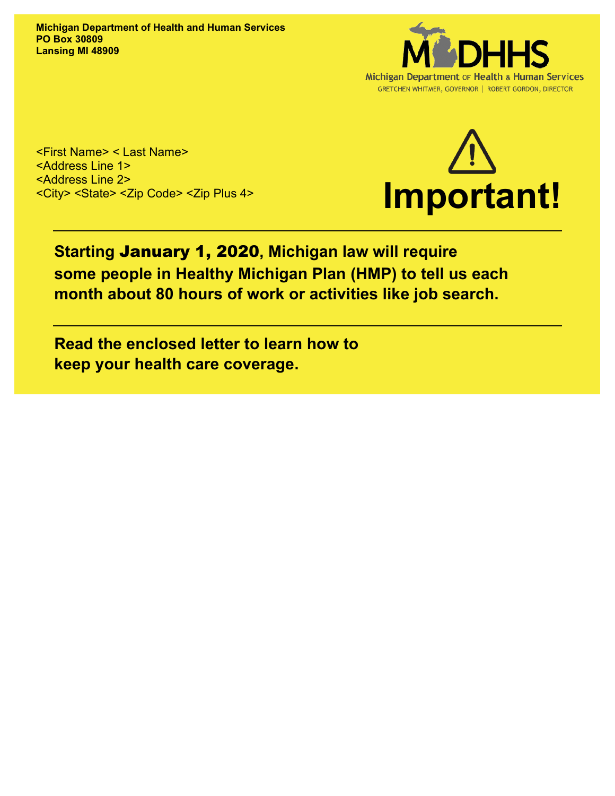**Michigan Department of Health and Human Services PO Box 30809 Lansing MI 48909**



<First Name> < Last Name> <Address Line 1> <Address Line 2> <City> <State> <Zip Code> <Zip Plus 4>



# **Starting** January 1, 2020**, Michigan law will require some people in Healthy Michigan Plan (HMP) to tell us each month about 80 hours of work or activities like job search.**

**Read the enclosed letter to learn how to keep your health care coverage.**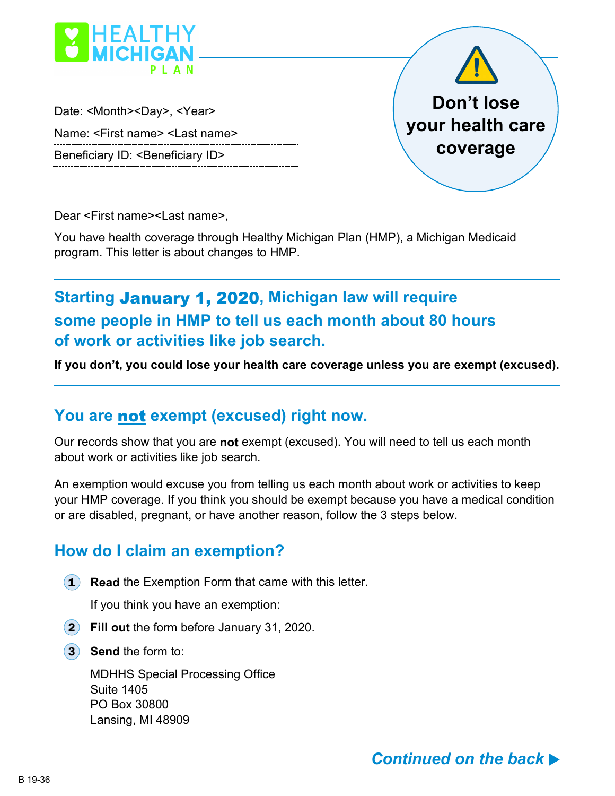

Date: <Month><Day>, <Year> Name: <First name> <Last name>

Beneficiary ID: <Beneficiary ID>



Dear <First name><Last name>,

You have health coverage through Healthy Michigan Plan (HMP), a Michigan Medicaid program. This letter is about changes to HMP.

# **Starting** January 1, 2020**, Michigan law will require some people in HMP to tell us each month about 80 hours of work or activities like job search.**

**If you don't, you could lose your health care coverage unless you are exempt (excused).**

## **You are** not **exempt (excused) right now.**

Our records show that you are **not** exempt (excused). You will need to tell us each month about work or activities like job search.

An exemption would excuse you from telling us each month about work or activities to keep your HMP coverage. If you think you should be exempt because you have a medical condition or are disabled, pregnant, or have another reason, follow the 3 steps below.

### **How do I claim an exemption?**

**1) Read** the Exemption Form that came with this letter.

If you think you have an exemption:

- **Fill out** the form before January 31, 2020.
- **(3) Send** the form to:

MDHHS Special Processing Office Suite 1405 PO Box 30800 Lansing, MI 48909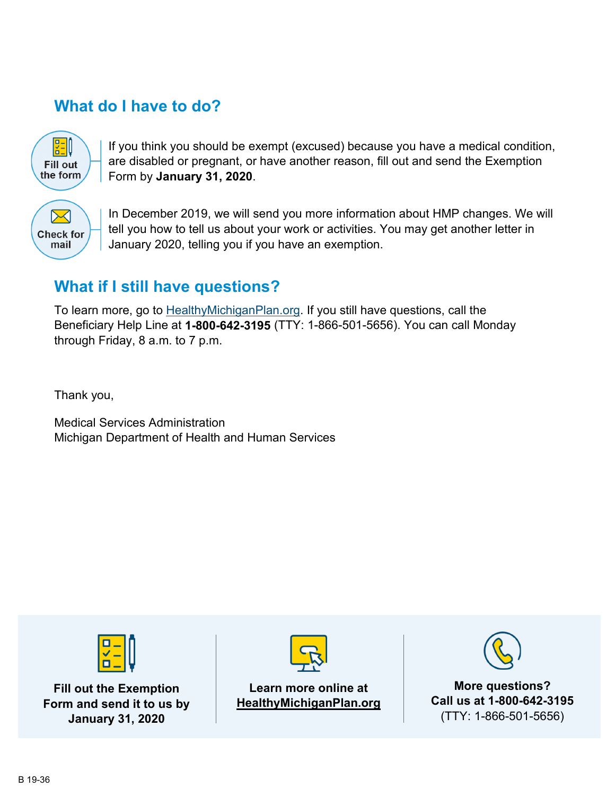## **What do I have to do?**

**ZEQ Fill out** the form

If you think you should be exempt (excused) because you have a medical condition, are disabled or pregnant, or have another reason, fill out and send the Exemption Form by **January 31, 2020**.



In December 2019, we will send you more information about HMP changes. We will tell you how to tell us about your work or activities. You may get another letter in January 2020, telling you if you have an exemption.

## **What if I still have questions?**

To learn more, go to HealthyMichiganPlan.org. If you still have questions, call the Beneficiary Help Line at **1-800-642-3195** (TTY: 1-866-501-5656). You can call Monday through Friday, 8 a.m. to 7 p.m.

Thank you,

Medical Services Administration Michigan Department of Health and Human Services



**Fill out the Exemption Form and send it to us by January 31, 2020**



**Learn more online at HealthyMichiganPlan.org**



**More questions? Call us at 1-800-642-3195** (TTY: 1-866-501-5656)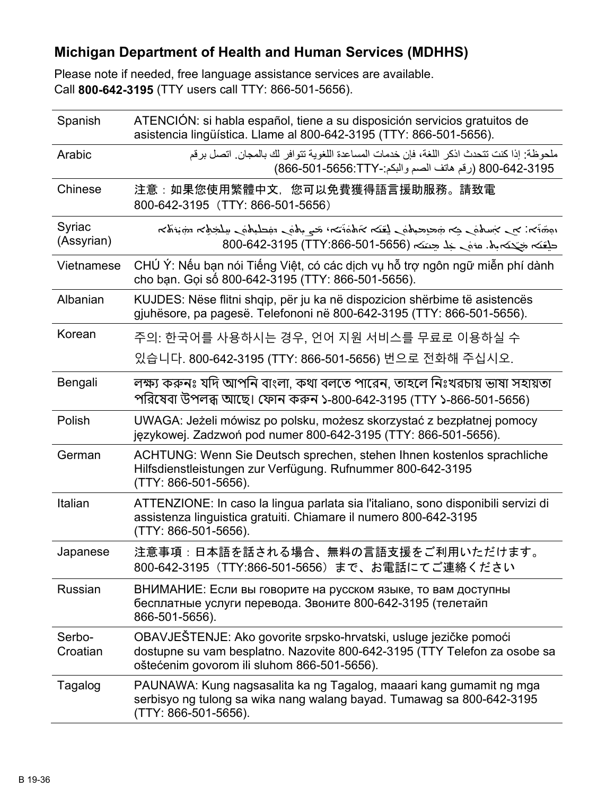#### **Michigan Department of Health and Human Services (MDHHS)**

Please note if needed, free language assistance services are available. Call **800-642-3195** (TTY users call TTY: 866-501-5656).

| Spanish              | ATENCIÓN: si habla español, tiene a su disposición servicios gratuitos de<br>asistencia lingüística. Llame al 800-642-3195 (TTY: 866-501-5656).                                                                                                                                                               |
|----------------------|---------------------------------------------------------------------------------------------------------------------------------------------------------------------------------------------------------------------------------------------------------------------------------------------------------------|
| Arabic               | ملحوظة: إذا كنت تتحدث اذكر اللغة، فإن خدمات المساعدة اللغوية تتوافر لك بالمجان. اتصل برقم<br>800-642-3195 (رقم هاتف الصم واللكم:-8656:TTY) 866-501-686)                                                                                                                                                       |
| Chinese              | 注意:如果您使用繁體中文,您可以免費獲得語言援助服務。請致電<br>800-642-3195 (TTY: 866-501-5656)                                                                                                                                                                                                                                            |
| Syriac<br>(Assyrian) | المخترجة المستحملية للمستحق والمستحق والمتفاعض المستحير المستحد المستحر والمستحرج المحتمدة والمستحق والمستحق والمستحق والمستحق والمستحق والمستحق والمستحق والمستحق والمستحق والمستحق والمستحق والمستحق والمستحق والمستحق والمس<br>حلِّفَـَـٰہ جَبْـَـٰبَہ (TTY:866-501-5656) حَلِّفَـہ (105-642-3195) 800-642 |
| Vietnamese           | CHÚ Ý: Nếu bạn nói Tiếng Việt, có các dịch vụ hỗ trợ ngôn ngữ miễn phí dành<br>cho bạn. Gọi số 800-642-3195 (TTY: 866-501-5656).                                                                                                                                                                              |
| Albanian             | KUJDES: Nëse flitni shqip, për ju ka në dispozicion shërbime të asistencës<br>gjuhësore, pa pagesë. Telefononi në 800-642-3195 (TTY: 866-501-5656).                                                                                                                                                           |
| Korean               | 주의: 한국어를 사용하시는 경우, 언어 지원 서비스를 무료로 이용하실 수                                                                                                                                                                                                                                                                      |
|                      | 있습니다. 800-642-3195 (TTY: 866-501-5656) 번으로 전화해 주십시오.                                                                                                                                                                                                                                                          |
| Bengali              | লক্ষ্য করুনঃ যদি আপনি বাংলা, কথা বলতে পারেন, তাহলে নিঃখরচায় ভাষা সহায়তা<br>পরিষেবা উপলব্ধ আছে। ফোন করুন ১-800-642-3195 (TTY ১-866-501-5656)                                                                                                                                                                 |
| Polish               | UWAGA: Jeżeli mówisz po polsku, możesz skorzystać z bezpłatnej pomocy<br>językowej. Zadzwoń pod numer 800-642-3195 (TTY: 866-501-5656).                                                                                                                                                                       |
| German               | ACHTUNG: Wenn Sie Deutsch sprechen, stehen Ihnen kostenlos sprachliche<br>Hilfsdienstleistungen zur Verfügung. Rufnummer 800-642-3195<br>(TTY: 866-501-5656).                                                                                                                                                 |
| Italian              | ATTENZIONE: In caso la lingua parlata sia l'italiano, sono disponibili servizi di<br>assistenza linguistica gratuiti. Chiamare il numero 800-642-3195<br>(TTY: 866-501-5656).                                                                                                                                 |
| Japanese             | 注意事項:日本語を話される場合、無料の言語支援をご利用いただけます。<br>800-642-3195 (TTY:866-501-5656) まで、お電話にてご連絡ください                                                                                                                                                                                                                         |
| <b>Russian</b>       | ВНИМАНИЕ: Если вы говорите на русском языке, то вам доступны<br>бесплатные услуги перевода. Звоните 800-642-3195 (телетайп<br>866-501-5656).                                                                                                                                                                  |
| Serbo-<br>Croatian   | OBAVJEŠTENJE: Ako govorite srpsko-hrvatski, usluge jezičke pomoći<br>dostupne su vam besplatno. Nazovite 800-642-3195 (TTY Telefon za osobe sa<br>oštećenim govorom ili sluhom 866-501-5656).                                                                                                                 |
| Tagalog              | PAUNAWA: Kung nagsasalita ka ng Tagalog, maaari kang gumamit ng mga<br>serbisyo ng tulong sa wika nang walang bayad. Tumawag sa 800-642-3195<br>(TTY: 866-501-5656).                                                                                                                                          |